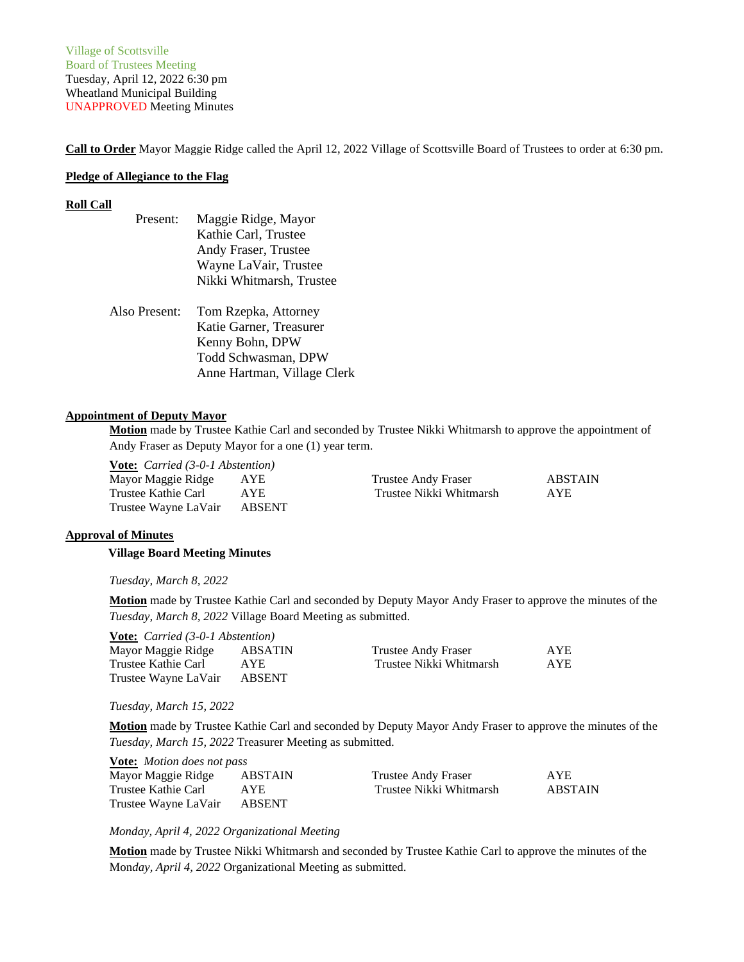**Call to Order** Mayor Maggie Ridge called the April 12, 2022 Village of Scottsville Board of Trustees to order at 6:30 pm.

### **Pledge of Allegiance to the Flag**

### **Roll Call**

| Present:      | Maggie Ridge, Mayor         |
|---------------|-----------------------------|
|               | Kathie Carl, Trustee        |
|               | Andy Fraser, Trustee        |
|               | Wayne LaVair, Trustee       |
|               | Nikki Whitmarsh, Trustee    |
| Also Present: | Tom Rzepka, Attorney        |
|               |                             |
|               | Katie Garner, Treasurer     |
|               | Kenny Bohn, DPW             |
|               | Todd Schwasman, DPW         |
|               | Anne Hartman, Village Clerk |

### **Appointment of Deputy Mayor**

**Motion** made by Trustee Kathie Carl and seconded by Trustee Nikki Whitmarsh to approve the appointment of Andy Fraser as Deputy Mayor for a one (1) year term.

**Vote:** *Carried (3-0-1 Abstention)*

| Mayor Maggie Ridge          | AYE  | Trustee Andy Fraser     | ABSTAIN    |
|-----------------------------|------|-------------------------|------------|
| Trustee Kathie Carl         | A YE | Trustee Nikki Whitmarsh | <b>AYE</b> |
| Trustee Wayne LaVair ABSENT |      |                         |            |

### **Approval of Minutes**

 **Village Board Meeting Minutes**

*Tuesday, March 8, 2022*

**Motion** made by Trustee Kathie Carl and seconded by Deputy Mayor Andy Fraser to approve the minutes of the *Tuesday, March 8, 2022* Village Board Meeting as submitted.

**Vote:** *Carried (3-0-1 Abstention)*

| Mayor Maggie Ridge   | <b>ABSATIN</b> | Trustee Andy Fraser     | <b>AYE</b> |
|----------------------|----------------|-------------------------|------------|
| Trustee Kathie Carl  | AYE            | Trustee Nikki Whitmarsh | <b>AYE</b> |
| Trustee Wayne LaVair | ABSENT         |                         |            |

*Tuesday, March 15, 2022*

**Motion** made by Trustee Kathie Carl and seconded by Deputy Mayor Andy Fraser to approve the minutes of the *Tuesday, March 15, 2022* Treasurer Meeting as submitted.

| <b>Vote:</b> Motion does not pass |         |                         |            |
|-----------------------------------|---------|-------------------------|------------|
| Mayor Maggie Ridge                | ABSTAIN | Trustee Andy Fraser     | <b>AYE</b> |
| Trustee Kathie Carl               | AYE.    | Trustee Nikki Whitmarsh | ABSTAIN    |
| Trustee Wayne LaVair              | ABSENT  |                         |            |

### *Monday, April 4, 2022 Organizational Meeting*

**Motion** made by Trustee Nikki Whitmarsh and seconded by Trustee Kathie Carl to approve the minutes of the Mon*day, April 4, 2022* Organizational Meeting as submitted.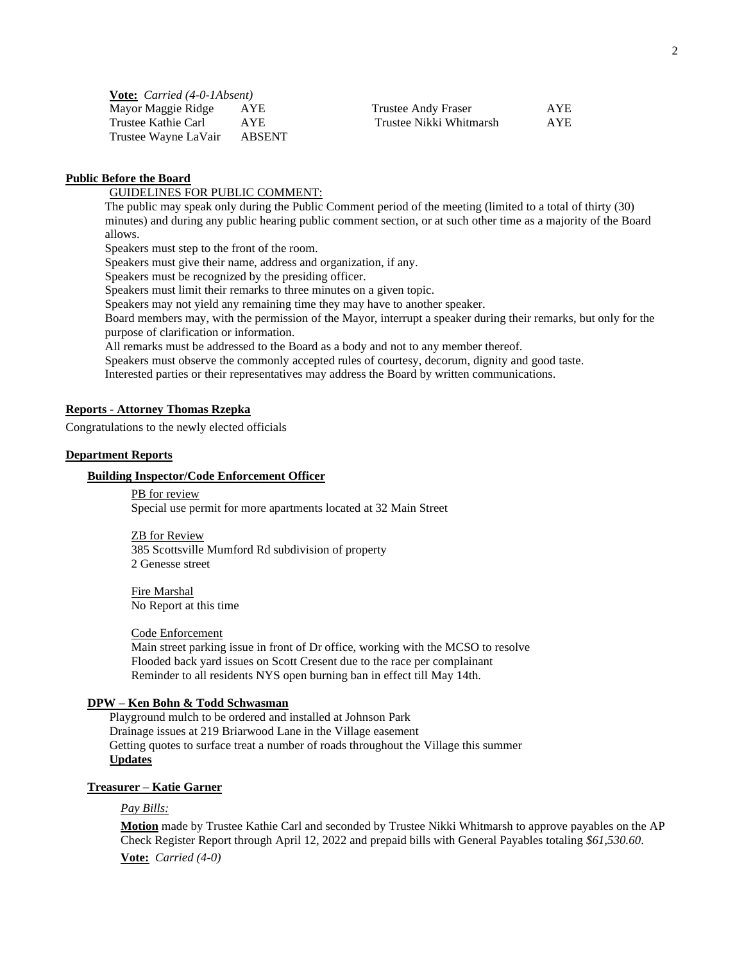| <b>Vote:</b> <i>Carried</i> (4-0-1Absent) |               |                         |            |
|-------------------------------------------|---------------|-------------------------|------------|
| Mayor Maggie Ridge                        | AYE.          | Trustee Andy Fraser     | <b>AYE</b> |
| Trustee Kathie Carl                       | AYE.          | Trustee Nikki Whitmarsh | <b>AYE</b> |
| Trustee Wayne LaVair                      | <b>ABSENT</b> |                         |            |

## **Public Before the Board**

GUIDELINES FOR PUBLIC COMMENT:

The public may speak only during the Public Comment period of the meeting (limited to a total of thirty (30) minutes) and during any public hearing public comment section, or at such other time as a majority of the Board allows.

Speakers must step to the front of the room.

Speakers must give their name, address and organization, if any.

Speakers must be recognized by the presiding officer.

Speakers must limit their remarks to three minutes on a given topic.

Speakers may not yield any remaining time they may have to another speaker.

Board members may, with the permission of the Mayor, interrupt a speaker during their remarks, but only for the purpose of clarification or information.

All remarks must be addressed to the Board as a body and not to any member thereof.

Speakers must observe the commonly accepted rules of courtesy, decorum, dignity and good taste.

Interested parties or their representatives may address the Board by written communications.

### **Reports - Attorney Thomas Rzepka**

Congratulations to the newly elected officials

### **Department Reports**

### **Building Inspector/Code Enforcement Officer**

PB for review Special use permit for more apartments located at 32 Main Street

ZB for Review 385 Scottsville Mumford Rd subdivision of property 2 Genesse street

Fire Marshal No Report at this time

Code Enforcement

Main street parking issue in front of Dr office, working with the MCSO to resolve Flooded back yard issues on Scott Cresent due to the race per complainant Reminder to all residents NYS open burning ban in effect till May 14th.

### **DPW – Ken Bohn & Todd Schwasman**

Playground mulch to be ordered and installed at Johnson Park Drainage issues at 219 Briarwood Lane in the Village easement Getting quotes to surface treat a number of roads throughout the Village this summer **Updates**

## **Treasurer – Katie Garner**

*Pay Bills:*

**Motion** made by Trustee Kathie Carl and seconded by Trustee Nikki Whitmarsh to approve payables on the AP Check Register Report through April 12, 2022 and prepaid bills with General Payables totaling *\$61,530.60*. **Vote:** *Carried (4-0)*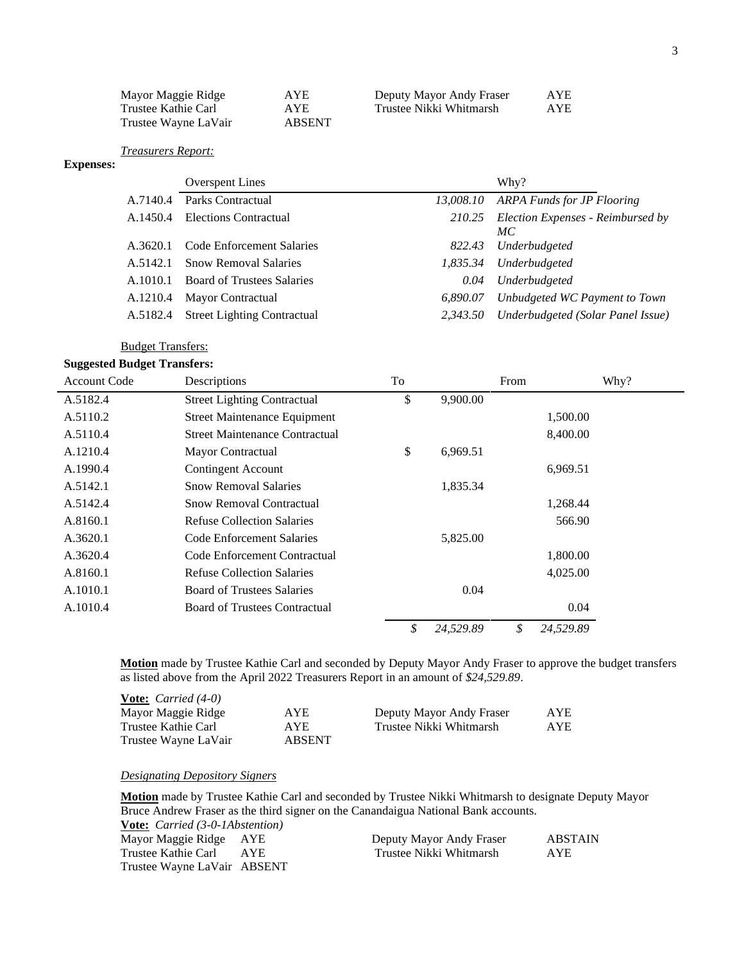| Mayor Maggie Ridge   | AYE.   | Deputy Mayor Andy Fraser | AYE. |
|----------------------|--------|--------------------------|------|
| Trustee Kathie Carl  | AYE    | Trustee Nikki Whitmarsh  | AYE. |
| Trustee Wayne LaVair | ABSENT |                          |      |

*Treasurers Report:*

## **Expenses:**

|          | <b>Overspent Lines</b>             |           | Why?                                           |
|----------|------------------------------------|-----------|------------------------------------------------|
| A.7140.4 | Parks Contractual                  | 13,008.10 | <b>ARPA Funds for JP Flooring</b>              |
| A.1450.4 | Elections Contractual              |           | 210.25 Election Expenses - Reimbursed by<br>МC |
| A.3620.1 | Code Enforcement Salaries          | 822.43    | Underbudgeted                                  |
| A.5142.1 | <b>Snow Removal Salaries</b>       | 1,835.34  | Underbudgeted                                  |
| A.1010.1 | <b>Board of Trustees Salaries</b>  | 0.04      | Underbudgeted                                  |
| A.1210.4 | <b>Mayor Contractual</b>           | 6.890.07  | Unbudgeted WC Payment to Town                  |
| A.5182.4 | <b>Street Lighting Contractual</b> | 2.343.50  | Underbudgeted (Solar Panel Issue)              |

## Budget Transfers:

## **Suggested Budget Transfers:**

| <b>Account Code</b> | Descriptions                          | To |           | From | Why?      |
|---------------------|---------------------------------------|----|-----------|------|-----------|
| A.5182.4            | <b>Street Lighting Contractual</b>    | \$ | 9,900.00  |      |           |
| A.5110.2            | <b>Street Maintenance Equipment</b>   |    |           |      | 1,500.00  |
| A.5110.4            | <b>Street Maintenance Contractual</b> |    |           |      | 8,400.00  |
| A.1210.4            | Mayor Contractual                     | \$ | 6,969.51  |      |           |
| A.1990.4            | <b>Contingent Account</b>             |    |           |      | 6,969.51  |
| A.5142.1            | <b>Snow Removal Salaries</b>          |    | 1,835.34  |      |           |
| A.5142.4            | <b>Snow Removal Contractual</b>       |    |           |      | 1,268.44  |
| A.8160.1            | Refuse Collection Salaries            |    |           |      | 566.90    |
| A.3620.1            | Code Enforcement Salaries             |    | 5,825.00  |      |           |
| A.3620.4            | Code Enforcement Contractual          |    |           |      | 1,800.00  |
| A.8160.1            | Refuse Collection Salaries            |    |           |      | 4,025.00  |
| A.1010.1            | <b>Board of Trustees Salaries</b>     |    | 0.04      |      |           |
| A.1010.4            | <b>Board of Trustees Contractual</b>  |    |           |      | 0.04      |
|                     |                                       | \$ | 24,529.89 | \$   | 24,529.89 |

**Motion** made by Trustee Kathie Carl and seconded by Deputy Mayor Andy Fraser to approve the budget transfers as listed above from the April 2022 Treasurers Report in an amount of *\$24,529.89*.

| <b>Vote:</b> <i>Carried</i> $(4-0)$ |               |                          |      |
|-------------------------------------|---------------|--------------------------|------|
| Mayor Maggie Ridge                  | AYE.          | Deputy Mayor Andy Fraser | AYE. |
| Trustee Kathie Carl                 | AYE.          | Trustee Nikki Whitmarsh  | AYE. |
| Trustee Wayne LaVair                | <b>ABSENT</b> |                          |      |

## *Designating Depository Signers*

**Motion** made by Trustee Kathie Carl and seconded by Trustee Nikki Whitmarsh to designate Deputy Mayor Bruce Andrew Fraser as the third signer on the Canandaigua National Bank accounts. **Vote:** *Carried (3-0-1Abstention)*

| <b>YOUL.</b> Carried (5-0-1/20 Change Car |       |                          |                |
|-------------------------------------------|-------|--------------------------|----------------|
| Mayor Maggie Ridge AYE                    |       | Deputy Mayor Andy Fraser | <b>ABSTAIN</b> |
| Trustee Kathie Carl                       | A YE. | Trustee Nikki Whitmarsh  | AYE.           |
| Trustee Wayne LaVair ABSENT               |       |                          |                |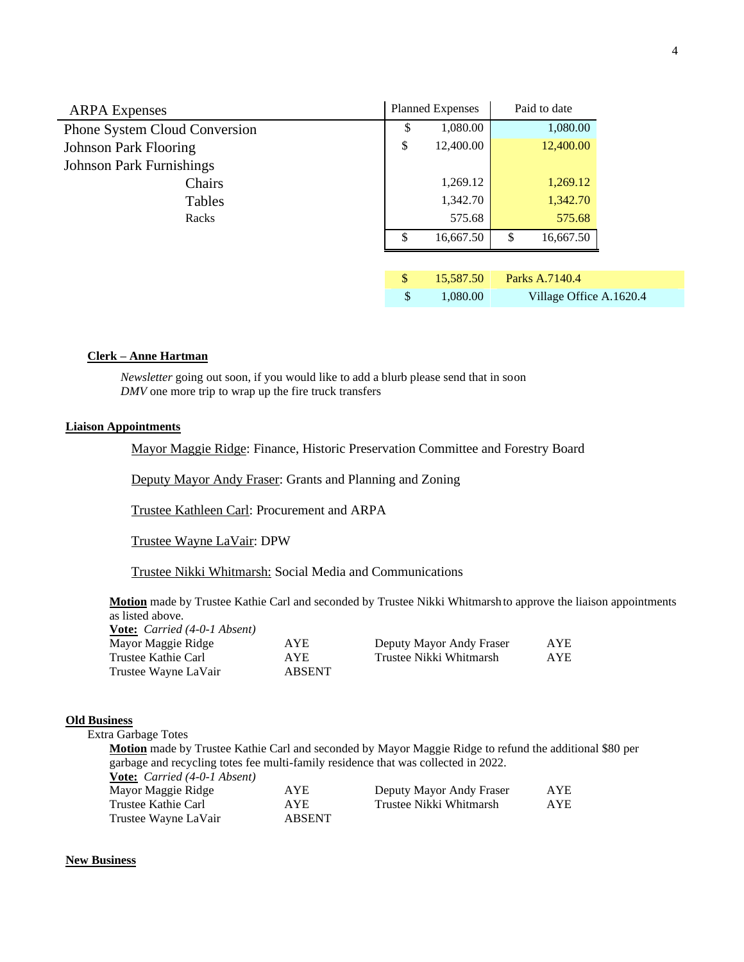| <b>ARPA</b> Expenses                 | <b>Planned Expenses</b><br>Paid to date |           |                         |  |
|--------------------------------------|-----------------------------------------|-----------|-------------------------|--|
| <b>Phone System Cloud Conversion</b> | \$                                      | 1,080.00  | 1,080.00                |  |
| <b>Johnson Park Flooring</b>         | \$                                      | 12,400.00 | 12,400.00               |  |
| <b>Johnson Park Furnishings</b>      |                                         |           |                         |  |
| Chairs                               |                                         | 1,269.12  | 1,269.12                |  |
| Tables                               |                                         | 1,342.70  | 1,342.70                |  |
| Racks                                |                                         | 575.68    | 575.68                  |  |
|                                      | <sup>\$</sup>                           | 16,667.50 | \$<br>16,667.50         |  |
|                                      |                                         |           |                         |  |
|                                      | $\sqrt{\frac{2}{2}}$                    | 15,587.50 | Parks A.7140.4          |  |
|                                      | \$                                      | 1,080.00  | Village Office A.1620.4 |  |

### **Clerk – Anne Hartman**

*Newsletter* going out soon, if you would like to add a blurb please send that in soon *DMV* one more trip to wrap up the fire truck transfers

## **Liaison Appointments**

Mayor Maggie Ridge: Finance, Historic Preservation Committee and Forestry Board

Deputy Mayor Andy Fraser: Grants and Planning and Zoning

Trustee Kathleen Carl: Procurement and ARPA

Trustee Wayne LaVair: DPW

Trustee Nikki Whitmarsh: Social Media and Communications

**Motion** made by Trustee Kathie Carl and seconded by Trustee Nikki Whitmarshto approve the liaison appointments as listed above.

| <b>Vote:</b> Carried (4-0-1 Absent) |               |                          |     |
|-------------------------------------|---------------|--------------------------|-----|
| Mayor Maggie Ridge                  | AYE.          | Deputy Mayor Andy Fraser | AYE |
| Trustee Kathie Carl                 | AYE.          | Trustee Nikki Whitmarsh  | AYE |
| Trustee Wayne LaVair                | <b>ABSENT</b> |                          |     |

### **Old Business**

Extra Garbage Totes

**Motion** made by Trustee Kathie Carl and seconded by Mayor Maggie Ridge to refund the additional \$80 per garbage and recycling totes fee multi-family residence that was collected in 2022.

**Vote:** *Carried (4-0-1 Absent)* Mayor Maggie Ridge AYE Deputy Mayor Andy Fraser AYE Trustee Kathie Carl AYE Trustee Nikki Whitmarsh AYE Trustee Wayne LaVair **ABSENT** 

### **New Business**